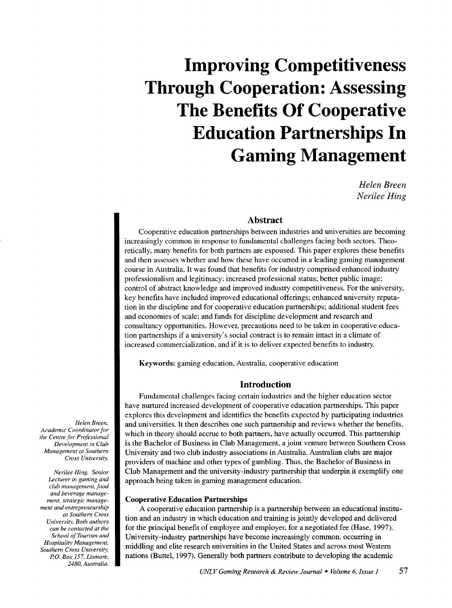# **Improving Competitiveness Through Cooperation: Assessing The Benefits Of Cooperative Education Partnerships In Gaming Management**

*Helen Breen Nerilee Hing* 

#### Abstract

Cooperative education partnerships between industries and universities are becoming increasingly common in response to fundamental challenges facing both sectors. Theoretically, many benefits for both partners are espoused. This paper explores these benefits and then assesses whether and how these have occurred in a leading gaming management course in Australia. It was found that benefits for industry comprised enhanced industry professionalism and legitimacy; increased professional status; better public image; control of abstract knowledge and improved industry competitiveness. For the university, key benefits have included improved educational offerings; enhanced university reputation in the discipline and for cooperative education partnerships; additional student fees and economies of scale; and funds for discipline development and research and consultancy opportunities. However, precautions need to be taken in cooperative education partnerships if a university's social contract is to remain intact in a climate of increased commercialization, and if it is to deliver expected benefits to industry.

Keywords: gaming education, Australia, cooperative education

#### **Introduction**

Fundamental challenges facing certain industries and the higher education sector have nurtured increased development of cooperative education partnerships. This paper explores this development and identifies the benefits expected by participating industries and universities. It then describes one such partnership and reviews whether the benefits, which in theory should accrue to both partners, have actually occurred. This partnership is the Bachelor of Business in Club Management, a joint venture between Southern Cross University and two club industry associations in Australia. Australian clubs are major providers of machine and other types of gambling. Thus, the Bachelor of Business in Club Management and the university-industry partnership that underpin it exemplify one approach being taken in gaming management education.

#### Cooperative Education Partnerships

A cooperative education partnership is a partnership between an educational institution and an industry in which education and training is jointly developed and delivered for the principal benefit of employee and employer, for a negotiated fee (Hase, 1997). University-industry partnerships have become increasingly common, occurring in middling and elite research universities in the United States and across most Western nations (Buttel, 1997). Generally both partners contribute to developing the academic

*Helen Breen, Academic Coordinator for the Centre for Professional Development in Club Management at Southern Cross University.* 

*Nerilee Hing. Senior Lecturer in gaming and club management, food and beverage management, strategic management and entrepreneurship at Southern Cross Universil}; Both authors can be contacted at the School of Tourism and Hospitality Management, Southern Cross Universil}; P.O. Box 157. Lismore, 2480, Australia.*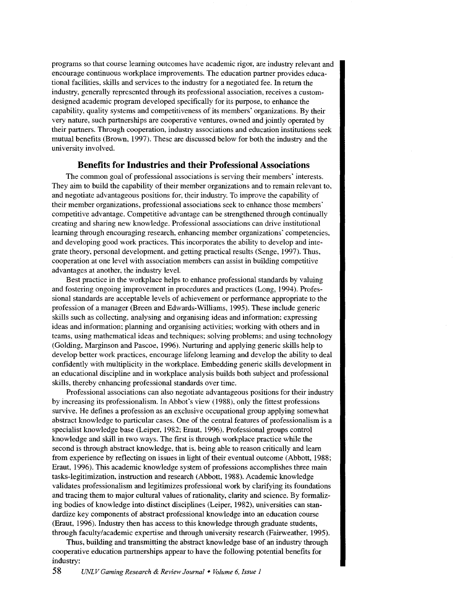programs so that course learning outcomes have academic rigor, are industry relevant and encourage continuous workplace improvements. The education partner provides educational facilities, skills and services to the industry for a negotiated fee. In return the industry, generally represented through its professional association, receives a customdesigned academic program developed specifically for its purpose, to enhance the capability, quality systems and competitiveness of its members' organizations. By their very nature, such partnerships are cooperative ventures. owned and jointly operated by their partners. Through cooperation, industry associations and education institutions seek mutual benefits (Brown, 1997). These are discussed below for both the industry and the university involved.

#### **Benefits for Industries and their Professional Associations**

The common goal of professional associations is serving their members' interests. They aim to build the capability of their member organizations and to remain relevant to, and negotiate advantageous positions for, their industry. To improve the capability of their member organizations, professional associations seek to enhance those members· competitive advantage. Competitive advantage can be strengthened through continually creating and sharing new knowledge. Professional associations can drive institutional learning through encouraging research, enhancing member organizations' competencies, and developing good work practices. This incorporates the ability to develop and integrate theory, personal development, and getting practical results (Senge, 1997). Thus, cooperation at one level with association members can assist in building competitive advantages at another, the industry level.

Best practice in the workplace helps to enhance professional standards by valuing and fostering ongoing improvement in procedures and practices (Long, 1994). Professional standards are acceptable levels of achievement or performance appropriate to the profession of a manager (Breen and Edwards-Williams, 1995). These include generic skills such as collecting, analysing and organising ideas and information; expressing ideas and information; planning and organising activities; working with others and in teams, using mathematical ideas and techniques; solving problems; and using technology (Golding, Marginson and Pascoe, 1996). Nurturing and applying generic skills help to develop better work practices, encourage lifelong learning and develop the ability to deal confidently with multiplicity in the workplace. Embedding generic skills development in an educational discipline and in workplace analysis builds both subject and professional skills, thereby enhancing professional standards over time.

Professional associations can also negotiate advantageous positions for their industry by increasing its professionalism. In Abbot's view (1988), only the fittest professions survive. He defines a profession as an exclusive occupational group applying somewhat abstract knowledge to particular cases. One of the central features of professionalism is a specialist knowledge base (Leiper, 1982; Eraut, 1996). Professional groups control knowledge and skill in two ways. The first is through workplace practice while the second is through abstract knowledge, that is, being able to reason critically and learn from experience by reflecting on issues in light of their eventual outcome (Abbott, 1988; Eraut, 1996). This academic knowledge system of professions accomplishes three main tasks-legitimization, instruction and research (Abbott, 1988). Academic knowledge validates professionalism and legitimizes professional work by clarifying its foundations and tracing them to major cultural values of rationality, clarity and science. By formalizing bodies of knowledge into distinct disciplines (Leiper, 1982), universities can standardize key components of abstract professional knowledge into an education course (Eraut, 1996). Industry then has access to this knowledge through graduate students, through faculty/academic expertise and through university research (Fairweather, 1995).

Thus, building and transmitting the abstract knowledge base of an industry through cooperative education partnerships appear to have the following potential benefits for industry: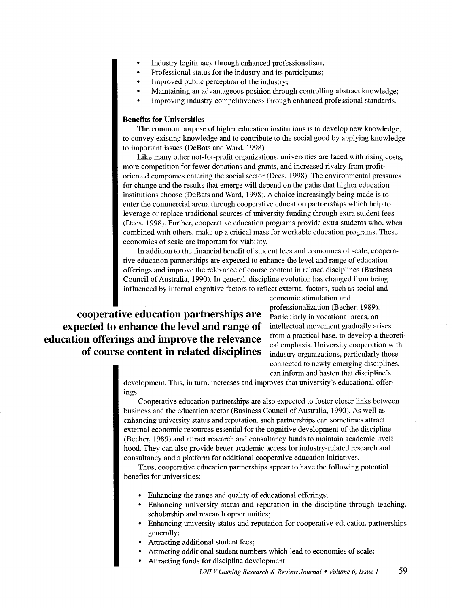- Industry legitimacy through enhanced professionalism;
- Professional status for the industry and its participants;
- Improved public perception of the industry;
- Maintaining an advantageous position through controlling abstract knowledge;
- Improving industry competitiveness through enhanced professional standards.

#### **Benefits for Universities**

The common purpose of higher education institutions is to develop new knowledge, to convey existing knowledge and to contribute to the social good by applying knowledge to important issues (DeBats and Ward, 1998).

Like many other not-for-profit organizations, universities are faced with rising costs, more competition for fewer donations and grants, and increased rivalry from profitoriented companies entering the social sector (Dees, 1998). The environmental pressures for change and the results that emerge will depend on the paths that higher education institutions choose (DeBats and Ward, 1998). A choice increasingly being made is to enter the commercial arena through cooperative education partnerships which help to leverage or replace traditional sources of university funding through extra student fees (Dees, 1998). Further, cooperative education programs provide extra students who, when combined with others, make up a critical mass for workable education programs. These economies of scale are important for viability.

In addition to the financial benefit of student fees and economies of scale, cooperative education partnerships are expected to enhance the level and range of education offerings and improve the relevance of course content in related disciplines (Business Council of Australia, 1990). In general, discipline evolution has changed from being influenced by internal cognitive factors to reflect external factors, such as social and

**cooperative education partnerships are expected to enhance the level and range of education offerings and improve the relevance of course content in related disciplines**  economic stimulation and professionalization (Becher, 1989). Particularly in vocational areas, an intellectual movement gradually arises from a practical base, to develop a theoretical emphasis. University cooperation with industry organizations, particularly those connected to newly emerging disciplines, can inform and hasten that discipline's

development. This, in tum, increases and improves that university's educational offerings.

Cooperative education partnerships are also expected to foster closer links between business and the education sector (Business Council of Australia, 1990). As well as enhancing university status and reputation, such partnerships can sometimes attract external economic resources essential for the cognitive development of the discipline (Becher, 1989) and attract research and consultancy funds to maintain academic livelihood. They can also provide better academic access for industry-related research and Consultancy and a platform for additional cooperative education initiatives.

Thus, cooperative education partnerships appear to have the following potential benefits for universities:

- Enhancing the range and quality of educational offerings;
- Enhancing university status and reputation in the discipline through teaching, scholarship and research opportunities;
- Enhancing university status and reputation for cooperative education partnerships generally;
- Attracting additional student fees;
- Attracting additional student numbers which lead to economies of scale;
- Attracting funds for discipline development.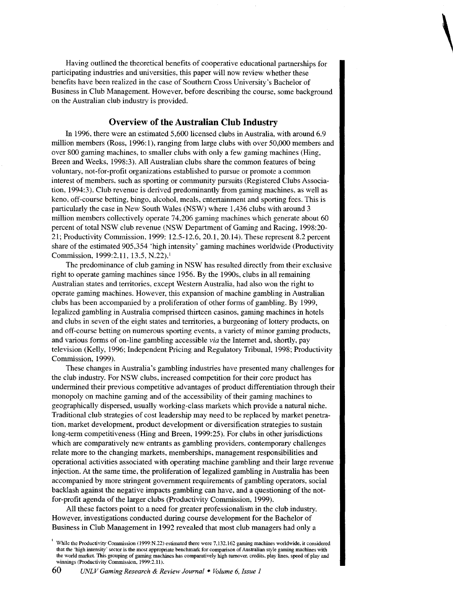Having outlined the theoretical benefits of cooperative educational partnerships for participating industries and universities, this paper will now review whether these benefits have been realized in the case of Southern Cross University's Bachelor of Business in Club Management. However, before describing the course, some background on the Australian club industry is provided.

**\** 

#### **Overview of the Australian Club Industry**

In 1996, there were an estimated 5,600 licensed clubs in Australia, with around 6.9 million members (Ross, 1996:1), ranging from large clubs with over 50,000 members and over 800 gaming machines, to smaller clubs with only a few gaming machines (Hing, Breen and Weeks, 1998:3). All Australian clubs share the common features of being voluntary, not-for-profit organizations established to pursue or promote a common interest of members, such as sporting or community pursuits (Registered Clubs Association, 1994:3). Club revenue is derived predominantly from gaming machines, as well as keno, off-course betting, bingo, alcohol, meals, entertainment and sporting fees. This is particularly the case in New South Wales (NSW) where 1,436 clubs with around 3 million members collectively operate 74,206 gaming machines which generate about 60 percent of total NSW club revenue (NSW Department of Gaming and Racing, 1998:20- 21; Productivity Commission, 1999: 12.5-12.6, 20.1, 20.14). These represent 8.2 percent share of the estimated 905,354 'high intensity' gaming machines worldwide (Productivity Commission, 1999:2.11, 13.5, N.22).<sup>1</sup>

The predominance of club gaming in NSW has resulted directly from their exclusive right to operate gaming machines since 1956. By the 1990s, clubs in all remaining Australian states and territories, except Western Australia, had also won the right to operate gaming machines. However, this expansion of machine gambling in Australian clubs has been accompanied by a proliferation of other forms of gambling. By 1999, legalized gambling in Australia comprised thirteen casinos, gaming machines in hotels and clubs in seven of the eight states and territories, a burgeoning of lottery products, on and off-course betting on numerous sporting events, a variety of minor gaming products, and various forms of on-line gambling accessible *via* the Internet and, shortly, pay television (Kelly, 1996; Independent Pricing and Regulatory Tribunal, 1998; Productivity Commission, 1999).

These changes in Australia's gambling industries have presented many challenges for the club industry. For NSW clubs, increased competition for their core product has undermined their previous competitive advantages of product differentiation through their monopoly on machine gaming and of the accessibility of their gaming machines to geographically dispersed, usually working-class markets which provide a natural niche. Traditional club strategies of cost leadership may need to be replaced by market penetration, market development, product development or diversification strategies to sustain long-term competitiveness (Hing and Breen, 1999:25). For clubs in other jurisdictions which are comparatively new entrants as gambling providers, contemporary challenges relate more to the changing markets, memberships, management responsibilities and operational activities associated with operating machine gambling and their large revenue injection. At the same time, the proliferation of legalized gambling in Australia has been accompanied by more stringent government requirements of gambling operators, social backlash against the negative impacts gambling can have, and a questioning of the notfor-profit agenda of the larger clubs (Productivity Commission, 1999).

All these factors point to a need for greater professionalism in the club industry. However, investigations conducted during course development for the Bachelor of Business in Club Management in 1992 revealed that most club managers had only a

<sup>1</sup>  While the Productivity Commission (1999:N.22) estimated there were 7.132.162 gaming machines worldwide, it considered that the 'high intensity' sector is the most appropriate benchmark for comparison of Anstralian style gaming machines with the world market. This grouping of gaming machines has comparatively high turnover, credits, play lines, speed of play and winnings (Productivity Commission, 1999:2.11).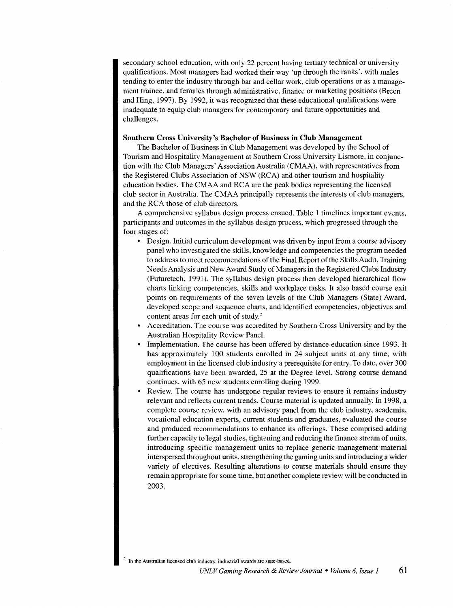secondary school education, with only 22 percent having tertiary technical or university qualifications. Most managers had worked their way 'up through the ranks', with males tending to enter the industry through bar and cellar work, club operations or as a management trainee, and females through administrative, finance or marketing positions (Breen and Hing, 1997). By 1992, it was recognized that these educational qualifications were inadequate to equip club managers for contemporary and future opportunities and challenges.

#### Southern Cross University's Bachelor of Business in Club Management

The Bachelor of Business in Club Management was developed by the School of Tourism and Hospitality Management at Southern Cross University Lismore, in conjunction with the Club Managers' Association Australia (CMAA), with representatives from the Registered Clubs Association of NSW (RCA) and other tourism and hospitality education bodies. The CMAA and RCA are the peak bodies representing the licensed club sector in Australia. The CMAA principally represents the interests of club managers, and the RCA those of club directors.

A comprehensive syllabus design process ensued. Table 1 timelines important events, participants and outcomes in the syllabus design process, which progressed through the four stages of:

- Design. Initial curriculum development was driven by input from a course advisory panel who investigated the skills, knowledge and competencies the program needed to address to meet recommendations of the Final Report of the Skills Audit, Training Needs Analysis and New Award Study of Managers in the Registered Clubs Industry (Futuretech, 1991). The syllabus design process then developed hierarchical flow charts linking competencies, skills and workplace tasks. It also based course exit points on requirements of the seven levels of the Club Managers (State) Award, developed scope and sequence charts, and identified competencies, objectives and content areas for each unit of study. *<sup>2</sup>*
- Accreditation. The course was accredited by Southern Cross University and by the Australian Hospitality Review Panel.
- Implementation. The course has been offered by distance education since 1993. It has approximately 100 students enrolled in 24 subject units at any time, with employment in the licensed club industry a prerequisite for entry. To date, over 300 qualifications have been awarded, 25 at the Degree level. Strong course demand continues, with 65 new students enrolling during 1999.
- Review. The course has undergone regular reviews to ensure it remains industry relevant and reflects current trends. Course material is updated annually. In 1998, a complete course review, with an advisory panel from the club industry, academia, vocational education experts, current students and graduates, evaluated the course and produced recommendations to enhance its offerings. These comprised adding further capacity to legal studies, tightening and reducing the finance stream of units, introducing specific management units to replace generic management material interspersed throughout units, strengthening the gaming units and introducing a wider variety of electives. Resulting alterations to course materials should ensure they remain appropriate for some time, but another complete review will be conducted in 2003.

In the Australian licensed club industry, industrial awards are state-based.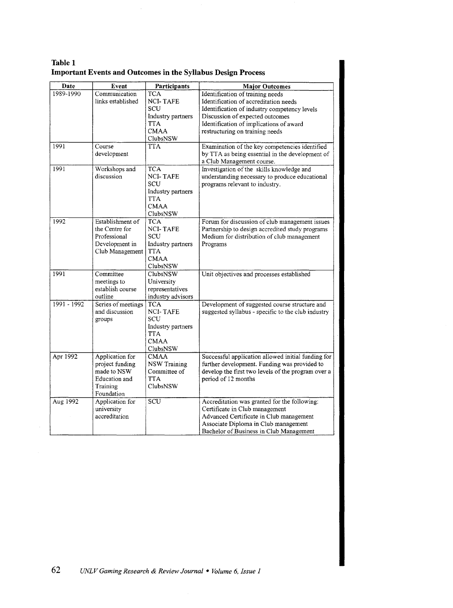| Table 1 |                                                                     |  |
|---------|---------------------------------------------------------------------|--|
|         | <b>Important Events and Outcomes in the Syllabus Design Process</b> |  |

| Date          | Event                                                                                        | Participants                                                                                       | <b>Major Outcomes</b>                                                                                                                                                                                                                      |
|---------------|----------------------------------------------------------------------------------------------|----------------------------------------------------------------------------------------------------|--------------------------------------------------------------------------------------------------------------------------------------------------------------------------------------------------------------------------------------------|
| 1989-1990     | Communication<br>links established                                                           | <b>TCA</b><br><b>NCI-TAFE</b><br>SCU<br>Industry partners<br>TTA<br><b>CMAA</b><br>ClubsNSW        | Identification of training needs<br>Identification of accreditation needs<br>Identification of industry competency levels<br>Discussion of expected outcomes<br>Identification of implications of award<br>restructuring on training needs |
| 1991          | Course<br>development                                                                        | TTA                                                                                                | Examination of the key competencies identified<br>by TTA as being essential in the development of<br>a Club Management course.                                                                                                             |
| 1991          | Workshops and<br>discussion                                                                  | <b>TCA</b><br><b>NCI-TAFE</b><br>SCU<br>Industry partners<br><b>TTA</b><br><b>CMAA</b><br>ClubsNSW | Investigation of the skills knowledge and<br>understanding necessary to produce educational<br>programs relevant to industry.                                                                                                              |
| 1992          | Establishment of<br>the Centre for<br>Professional<br>Development in<br>Club Management      | <b>TCA</b><br><b>NCI-TAFE</b><br>SCU<br>Industry partners<br><b>TTA</b><br><b>CMAA</b><br>ClubsNSW | Forum for discussion of club management issues<br>Partnership to design accredited study programs<br>Medium for distribution of club management<br>Programs                                                                                |
| 1991          | Committee<br>meetings to<br>establish course<br>outline                                      | <b>ClubsNSW</b><br>University<br>representatives<br>industry advisors                              | Unit objectives and processes established                                                                                                                                                                                                  |
| $1991 - 1992$ | Series of meetings<br>and discussion<br>groups                                               | <b>TCA</b><br><b>NCI-TAFE</b><br>SCU<br>Industry partners<br><b>TTA</b><br><b>CMAA</b><br>ClubsNSW | Development of suggested course structure and<br>suggested syllabus - specific to the club industry                                                                                                                                        |
| Apr 1992      | Application for<br>project funding<br>made to NSW<br>Education and<br>Training<br>Foundation | <b>CMAA</b><br><b>NSW Training</b><br>Committee of<br>TTA<br>ClubsNSW                              | Successful application allowed initial funding for<br>further development. Funding was provided to<br>develop the first two levels of the program over a<br>period of 12 months                                                            |
| Aug 1992      | Application for<br>university<br>accreditation                                               | SCU                                                                                                | Accreditation was granted for the following:<br>Certificate in Club management<br>Advanced Certificate in Club management<br>Associate Diploma in Club management<br>Bachelor of Business in Club Management                               |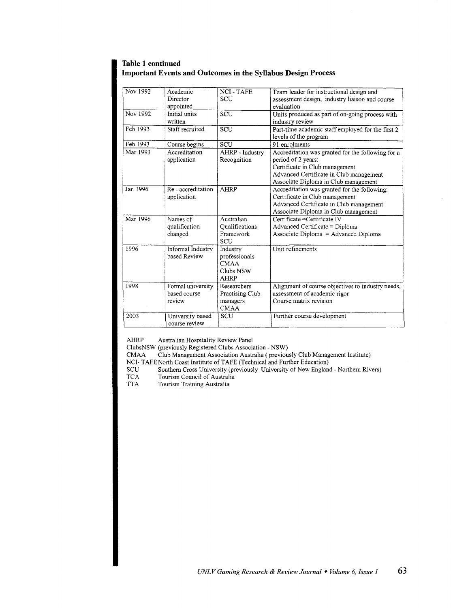#### **Table 1 continued Important Events and Outcomes in the Syllabus Design Process**

| Nov 1992 | Academic<br>Director<br>appointed           | <b>NCI-TAFE</b><br><b>SCU</b>                                        | Team leader for instructional design and<br>assessment design, industry liaison and course<br>evaluation                                                                                     |
|----------|---------------------------------------------|----------------------------------------------------------------------|----------------------------------------------------------------------------------------------------------------------------------------------------------------------------------------------|
| Nov 1992 | Initial units<br>written                    | SCU                                                                  | Units produced as part of on-going process with<br>industry review                                                                                                                           |
| Feb 1993 | Staff recruited                             | SCU                                                                  | Part-time academic staff employed for the first 2<br>levels of the program                                                                                                                   |
| Feb 1993 | Course begins                               | <b>SCU</b>                                                           | 91 enrolments                                                                                                                                                                                |
| Mar 1993 | Accreditation<br>application                | AHRP - Industry<br>Recognition                                       | Accreditation was granted for the following for a<br>period of 2 years:<br>Certificate in Club management<br>Advanced Certificate in Club management<br>Associate Diploma in Club management |
| Jan 1996 | Re-accreditation<br>application             | AHRP                                                                 | Accreditation was granted for the following:<br>Certificate in Club management<br>Advanced Certificate in Club management<br>Associate Diploma in Club management                            |
| Mar 1996 | Names of<br>qualification<br>changed        | Australian<br>Oualifications<br>Framework<br>SCU                     | Certificate = Certificate IV<br>Advanced Certificate = Diploma<br>Associate Diploma = Advanced Diploma                                                                                       |
| 1996     | Informal Industry<br>based Review           | Industry<br>professionals<br><b>CMAA</b><br>Clubs NSW<br><b>AHRP</b> | Unit refinements                                                                                                                                                                             |
| 1998     | Formal university<br>based course<br>review | Researchers<br>Practising Club<br>managers<br><b>CMAA</b>            | Alignment of course objectives to industry needs,<br>assessment of academic rigor<br>Course matrix revision                                                                                  |
| 2003     | University based<br>course review           | SCU                                                                  | Further course development                                                                                                                                                                   |

AHRP Australian Hospitality Review Panel

ClubsNSW (previously Registered Clubs Association - NSW)

Club Management Association Australia (previously Club Management Institute)

NCI- TAFE North Coast Institute of TAFE (Technical and Further Education)<br>SCU Southern Cross University (previously University of New Englan

SCU Southern Cross University (previously University of New England - Northern Rivers)<br>TCA Tourism Council of Australia

TCA Tourism Council of Australia<br>TTA Tourism Training Australia

Tourism Training Australia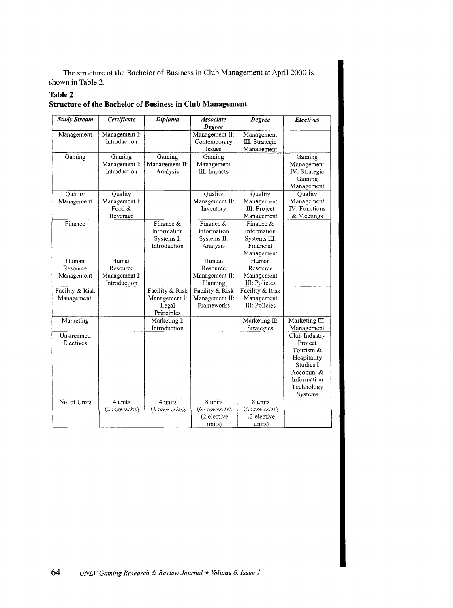The structure of the Bachelor of Business in Club Management at April 2000 is shown in Table 2.

#### **Table 2**

# **Structure of the Bachelor of Business in Club Management**

| <b>Study Stream</b>             | Certificate                                        | Diploma                                                 | <b>Associate</b><br>Degree                             | <b>Degree</b>                                                       | Electives                                                                                                              |
|---------------------------------|----------------------------------------------------|---------------------------------------------------------|--------------------------------------------------------|---------------------------------------------------------------------|------------------------------------------------------------------------------------------------------------------------|
| Management                      | Management I:<br>Introduction                      |                                                         | Management II:<br>Contemporary<br>Issues               | Management<br>III: Strategic<br>Management                          |                                                                                                                        |
| Gaming                          | Gaming<br>Management I:<br>Introduction            | Gaming<br>Management II:<br>Analysis                    | Gaming<br>Management<br>III: Impacts                   |                                                                     | Gaming<br>Management<br>IV: Strategic<br>Gaming<br>Management                                                          |
| Quality<br>Management           | Quality<br>Management I:<br>Food &<br>Beverage     |                                                         | Quality<br>Management II:<br>Inventory                 | Quality<br>Management<br>III: Project<br>Management                 | Quality<br>Management<br>IV: Functions<br>& Meetings                                                                   |
| Finance                         |                                                    | Finance &<br>Information<br>Systems I:<br>Introduction  | Finance &<br>Information<br>Systems II:<br>Analysis    | Finance &<br>Information<br>Systems III:<br>Financial<br>Management |                                                                                                                        |
| Human<br>Resource<br>Management | Human<br>Resource<br>Management I:<br>Introduction |                                                         | Human<br>Resource<br>Management II:<br>Planning        | Human<br>Resource<br>Management<br>III: Policies                    |                                                                                                                        |
| Facility & Risk<br>Management.  |                                                    | Facility & Risk<br>Management I:<br>Legal<br>Principles | Facility & Risk<br>Management II:<br><b>Frameworks</b> | Facility & Risk<br>Management<br><b>III</b> : Policies              |                                                                                                                        |
| Marketing                       |                                                    | Marketing I:<br>Introduction                            |                                                        | Marketing II:<br>Strategies                                         | Marketing III:<br>Management                                                                                           |
| Unstreamed<br>Electives         |                                                    |                                                         |                                                        |                                                                     | Club Industry<br>Project<br>Tourism &<br>Hospitality<br>Studies I<br>Accomm. &<br>Information<br>Technology<br>Systems |
| No. of Units                    | 4 units<br>(4 core units)                          | 4 units<br>(4 core units)                               | 8 units<br>(6 core units)<br>(2 elective<br>units)     | 8 units<br>(6 core units)<br>(2 elective<br>units)                  |                                                                                                                        |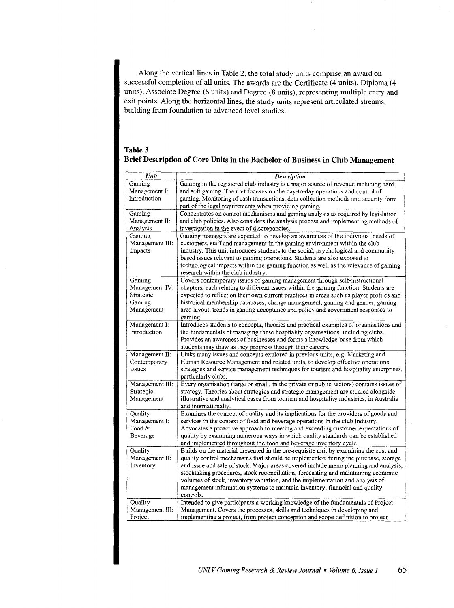Along the vertical lines in Table 2, the total study units comprise an award on successful completion of all units. The awards are the Certificate (4 units), Diploma (4 units), Associate Degree (8 units) and Degree (8 units), representing multiple entry and exit points. Along the horizontal lines, the study units represent articulated streams, building from foundation to advanced level studies.

| Table 3                                                                        |
|--------------------------------------------------------------------------------|
| Brief Description of Core Units in the Bachelor of Business in Club Management |

| Unit                                                          | <b>Description</b>                                                                                                                                                                                                                                                                                                                                                                                                                                                                                                                    |
|---------------------------------------------------------------|---------------------------------------------------------------------------------------------------------------------------------------------------------------------------------------------------------------------------------------------------------------------------------------------------------------------------------------------------------------------------------------------------------------------------------------------------------------------------------------------------------------------------------------|
| Gaming<br>Management I:<br>Introduction                       | Gaming in the registered club industry is a major source of revenue including hard<br>and soft gaming. The unit focuses on the day-to-day operations and control of<br>gaming. Monitoring of cash transactions, data collection methods and security form<br>part of the legal requirements when providing gaming.                                                                                                                                                                                                                    |
| Gaming<br>Management II:<br>Analysis                          | Concentrates on control mechanisms and gaming analysis as required by legislation<br>and club policies. Also considers the analysis process and implementing methods of<br>investigation in the event of discrepancies.                                                                                                                                                                                                                                                                                                               |
| Gaming<br>Management III:<br>Impacts                          | Gaming managers are expected to develop an awareness of the individual needs of<br>customers, staff and management in the gaming environment within the club<br>industry. This unit introduces students to the social, psychological and community<br>based issues relevant to gaming operations. Students are also exposed to<br>technological impacts within the gaming function as well as the relevance of gaming<br>research within the club industry.                                                                           |
| Gaming<br>Management IV:<br>Strategic<br>Gaming<br>Management | Covers contemporary issues of gaming management through self-instructional<br>chapters, each relating to different issues within the gaming function. Students are<br>expected to reflect on their own current practices in areas such as player profiles and<br>historical membership databases, change management, gaming and gender, gaming<br>area layout, trends in gaming acceptance and policy and government responses to<br>gaming.                                                                                          |
| Management I:<br>Introduction                                 | Introduces students to concepts, theories and practical examples of organisations and<br>the fundamentals of managing these hospitality organisations, including clubs.<br>Provides an awareness of businesses and forms a knowledge-base from which<br>students may draw as they progress through their careers.                                                                                                                                                                                                                     |
| Management II:<br>Contemporary<br>Issues                      | Links many issues and concepts explored in previous units, e.g. Marketing and<br>Human Resource Management and related units, to develop effective operations<br>strategies and service management techniques for tourism and hospitality enterprises,<br>particularly clubs.                                                                                                                                                                                                                                                         |
| Management III:<br>Strategic<br>Management                    | Every organisation (large or small, in the private or public sectors) contains issues of<br>strategy. Theories about strategies and strategic management are studied alongside<br>illustrative and analytical cases from tourism and hospitality industries, in Australia<br>and internationally.                                                                                                                                                                                                                                     |
| Quality<br>Management I:<br>Food $&$<br>Beverage              | Examines the concept of quality and its implications for the providers of goods and<br>services in the context of food and beverage operations in the club industry.<br>Advocates a proactive approach to meeting and exceeding customer expectations of<br>quality by examining numerous ways in which quality standards can be established<br>and implemented throughout the food and beverage inventory cycle.                                                                                                                     |
| Quality<br>Management II:<br>Inventory                        | Builds on the material presented in the pre-requisite unit by examining the cost and<br>quality control mechanisms that should be implemented during the purchase, storage<br>and issue and sale of stock. Major areas covered include menu planning and analysis,<br>stocktaking procedures, stock reconciliation, forecasting and maintaining economic<br>volumes of stock, inventory valuation, and the implementation and analysis of<br>management information systems to maintain inventory, financial and quality<br>controls. |
| Quality<br>Management III:<br>Project                         | Intended to give participants a working knowledge of the fundamentals of Project<br>Management. Covers the processes, skills and techniques in developing and<br>implementing a project, from project conception and scope definition to project                                                                                                                                                                                                                                                                                      |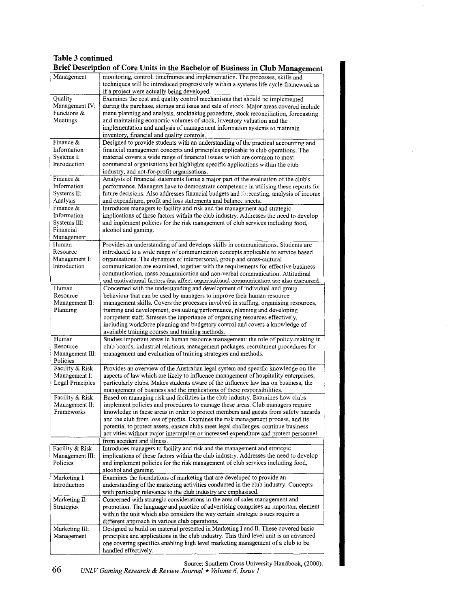### **Table 3 continued Brief Description of Core Units in the Bachelor of Business in Club Management**

|                         | Drier Description of Core Omes in the Dachelor of Dustiless in Club Management                                                                                                                                       |
|-------------------------|----------------------------------------------------------------------------------------------------------------------------------------------------------------------------------------------------------------------|
| Management              | monitoring, control, timeframes and implementation. The processes, skills and<br>techniques will be introduced progressively within a systems life cycle framework as<br>if a project were actually being developed. |
| Quality                 | Examines the cost and quality control mechanisms that should be implemented                                                                                                                                          |
| Management IV:          | during the purchase, storage and issue and sale of stock. Major areas covered include                                                                                                                                |
| Functions &             |                                                                                                                                                                                                                      |
|                         | menu planning and analysis, stocktaking procedure, stock reconciliation, forecasting                                                                                                                                 |
| Meetings                | and maintaining economic volumes of stock, inventory valuation and the                                                                                                                                               |
|                         | implementation and analysis of management information systems to maintain                                                                                                                                            |
|                         | inventory, financial and quality controls.                                                                                                                                                                           |
| Finance $\&$            | Designed to provide students with an understanding of the practical accounting and                                                                                                                                   |
| Information             | financial management concepts and principles applicable to club operations. The                                                                                                                                      |
| Systems I:              | material covers a wide range of financial issues which are common to most                                                                                                                                            |
| Introduction            | commercial organisations but highlights specific applications within the club                                                                                                                                        |
|                         |                                                                                                                                                                                                                      |
|                         | industry, and not-for-profit organisations.                                                                                                                                                                          |
| Finance $\&$            | Analysis of financial statements forms a major part of the evaluation of the club's                                                                                                                                  |
| Information             | performance. Managers have to demonstrate competence in utilising these reports for                                                                                                                                  |
| Systems II:             | future decisions. Also addresses financial budgets and forecasting, analysis of income                                                                                                                               |
| Analysis                | and expenditure, profit and loss statements and balance sheets.                                                                                                                                                      |
| Finance &               | Introduces managers to facility and risk and the management and strategic                                                                                                                                            |
| Information             | implications of these factors within the club industry. Addresses the need to develop                                                                                                                                |
| Systems III:            | and implement policies for the risk management of club services including food,                                                                                                                                      |
| Financial               | alcohol and gaming.                                                                                                                                                                                                  |
|                         |                                                                                                                                                                                                                      |
| Management<br>Human     |                                                                                                                                                                                                                      |
|                         | Provides an understanding of and develops skills in communications. Students are                                                                                                                                     |
| Resource                | introduced to a wide range of communication concepts applicable to service based                                                                                                                                     |
| Management I:           | organisations. The dynamics of interpersonal, group and cross-cultural                                                                                                                                               |
| Introduction            | communication are examined, together with the requirements for effective business                                                                                                                                    |
|                         | communication, mass communication and non-verbal communication. Attitudinal                                                                                                                                          |
|                         | and motivational factors that affect organisational communication are also discussed.                                                                                                                                |
| Human                   | Concerned with the understanding and development of individual and group                                                                                                                                             |
| Resource                | behaviour that can be used by managers to improve their human resource                                                                                                                                               |
|                         |                                                                                                                                                                                                                      |
| Management II:          | management skills. Covers the processes involved in staffing, organising resources,                                                                                                                                  |
| Planning                | training and development, evaluating performance, planning and developing                                                                                                                                            |
|                         | competent staff. Stresses the importance of organising resources effectively,                                                                                                                                        |
|                         | including workforce planning and budgetary control and covers a knowledge of                                                                                                                                         |
|                         | available training courses and training methods.                                                                                                                                                                     |
| Human                   | Studies important areas in human resource management: the role of policy-making in                                                                                                                                   |
| Resource                | club boards, industrial relations, management packages, recruitment procedures for                                                                                                                                   |
| Management III:         | management and evaluation of training strategies and methods.                                                                                                                                                        |
| Policies                |                                                                                                                                                                                                                      |
|                         |                                                                                                                                                                                                                      |
| Facility & Risk         | Provides an overview of the Australian legal system and specific knowledge on the                                                                                                                                    |
| Management I:           | aspects of law which are likely to influence management of hospitality enterprises,                                                                                                                                  |
| <b>Legal Principles</b> | particularly clubs. Makes students aware of the influence law has on business, the                                                                                                                                   |
|                         | management of business and the implications of these responsibilities.                                                                                                                                               |
| Facility & Risk         | Based on managing risk and facilities in the club industry. Examines how clubs                                                                                                                                       |
| Management II:          | implement policies and procedures to manage these areas. Club managers require                                                                                                                                       |
| Frameworks              | knowledge in these areas in order to protect members and guests from safety hazards                                                                                                                                  |
|                         | and the club from loss of profits. Examines the risk management process, and its                                                                                                                                     |
|                         |                                                                                                                                                                                                                      |
|                         | potential to protect assets, ensure clubs meet legal challenges, continue business                                                                                                                                   |
|                         | activities without major interruption or increased expenditure and protect personnel                                                                                                                                 |
|                         | from accident and illness.                                                                                                                                                                                           |
| Facility & Risk         | Introduces managers to facility and risk and the management and strategic                                                                                                                                            |
| Management III:         | implications of these factors within the club industry. Addresses the need to develop                                                                                                                                |
| Policies                | and implement policies for the risk management of club services including food,                                                                                                                                      |
|                         | alcohol and gaming.                                                                                                                                                                                                  |
| Marketing I:            | Examines the foundations of marketing that are developed to provide an                                                                                                                                               |
|                         | understanding of the marketing activities conducted in the club industry. Concepts                                                                                                                                   |
| Introduction            |                                                                                                                                                                                                                      |
|                         | with particular relevance to the club industry are emphasised.                                                                                                                                                       |
| Marketing II:           | Concerned with strategic considerations in the area of sales management and                                                                                                                                          |
| Strategies              | promotion. The language and practice of advertising comprises an important element                                                                                                                                   |
|                         | within the unit which also considers the way certain strategic issues require a                                                                                                                                      |
|                         | different approach in various club operations.                                                                                                                                                                       |
| Marketing III:          | Designed to build on material presented in Marketing I and II. These covered basic                                                                                                                                   |
| Management              | principles and applications in the club industry. This third level unit is an advanced                                                                                                                               |
|                         | one covering specifics enabling high level marketing management of a club to be                                                                                                                                      |
|                         | handled effectively.                                                                                                                                                                                                 |
|                         |                                                                                                                                                                                                                      |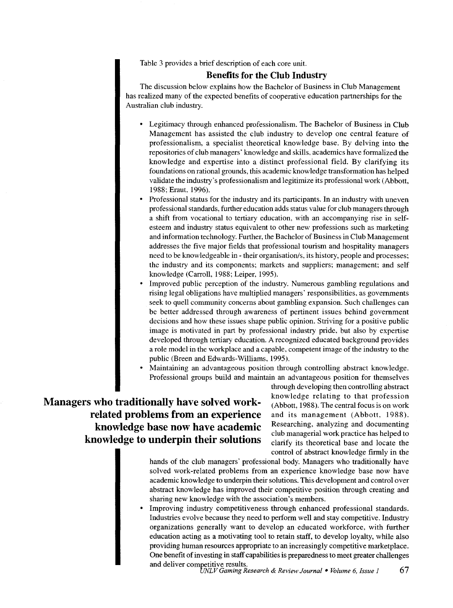Table 3 provides a brief description of each core unit.

#### **Benefits for the Club Industry**

The discussion below explains how the Bachelor of Business in Club Management has realized many of the expected benefits of cooperative education partnerships for the Australian club industry.

- Legitimacy through enhanced professionalism. The Bachelor of Business in Club Management has assisted the club industry to develop one central feature of professionalism, a specialist theoretical knowledge base. By delving into the repositories of club managers' knowledge and skills, academics have formalized the knowledge and expertise into a distinct professional field. By clarifying its foundations on rational grounds, this academic knowledge transformation has helped validate the industry's professionalism and legitimize its professional work (Abbott, 1988; Eraut. 1996).
- Professional status for the industry and its participants. In an industry with uneven professional standards, further education adds status value for club managers through a shift from vocational to tertiary education, with an accompanying rise in selfesteem and industry status equivalent to other new professions such as marketing and information technology. Further, the Bachelor of Business in Club Management addresses the five major fields that professional tourism and hospitality managers need to be knowledgeable in- their organisation/s, its history, people and processes; the industry and its components; markets and suppliers; management; and self knowledge (Carroll, 1988; Leiper, 1995).
- Improved public perception of the industry. Numerous gambling regulations and rising legal obligations have multiplied managers' responsibilities, as governments seek to quell community concerns about gambling expansion. Such challenges can be better addressed through awareness of pertinent issues behind government decisions and how these issues shape public opinion. Striving for a positive public image is motivated in part by professional industry pride, but also by expertise developed through tertiary education. A recognized educated background provides a role model in the workplace and a capable, competent image of the industry to the public (Breen and Edwards-Williams, 1995).
- Maintaining an advantageous position through controlling abstract knowledge. Professional groups build and maintain an advantageous position for themselves

# **Managers who traditionally have solved workrelated problems from an experience knowledge base now have academic knowledge to underpin their solutions**

through developing then controlling abstract knowledge relating to that profession (Abbott, 1988). The central focus is on work and its management (Abbott, 1988). Researching, analyzing and documenting club managerial work practice has helped to clarify its theoretical base and locate the control of abstract knowledge firmly in the

hands of the club managers' professional body. Managers who traditionally have solved work-related problems from an experience knowledge base now have academic knowledge to underpin their solutions. This development and control over abstract knowledge has improved their competitive position through creating and sharing new knowledge with the association's members.

• Improving industry competitiveness through enhanced professional standards. Industries evolve because they need to perform well and stay competitive. Industry organizations generally want to develop an educated workforce, with further education acting as a motivating tool to retain staff, to develop loyalty, while also providing human resources appropriate to an increasingly competitive marketplace. One benefit of investing in staff capabilities is preparedness to meet greater challenges and deliver competitive results. *UNLV Gaming Research* & *Review Journal* • *Volume 6, Issue 1* 67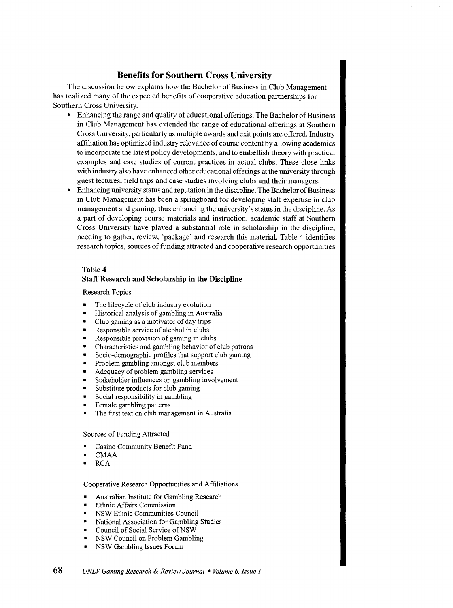## **Benefits for Southern Cross University**

The discussion below explains how the Bachelor of Business in Club Management has realized many of the expected benefits of cooperative education partnerships for Southern Cross University.

- Enhancing the range and quality of educational offerings. The Bachelor of Business in Club Management has extended the range of educational offerings at Southern Cross University, particularly as multiple awards and exit points are offered. Industry affiliation has optimized industry relevance of course content by allowing academics to incorporate the latest policy developments, and to embellish theory with practical examples and case studies of current practices in actual clubs. These close links with industry also have enhanced other educational offerings at the university through guest lectures, field trips and case studies involving clubs and their managers.
- Enhancing university status and reputation in the discipline. The Bachelor of Business in Club Management has been a springboard for developing staff expertise in club management and gaming, thus enhancing the university's status in the discipline. As a part of developing course materials and instruction, academic staff at Southern Cross University have played a substantial role in scholarship in the discipline, needing to gather, review, 'package' and research this material. Table 4 identifies research topics, sources of funding attracted and cooperative research opportunities

#### **Table 4**

#### **Staff Research and Scholarship in the Discipline**

Research Topics

- The lifecycle of club industry evolution
- Historical analysis of gambling in Australia
- Club gaming as a motivator of day trips
- Responsible service of alcohol in clubs
- Responsible provision of gaming in clubs
- Characteristics and gambling behavior of club patrons
- Socio-demographic profiles that support club gaming
- Problem gambling amongst club members
- Adequacy of problem gambling services
- Stakeholder influences on gambling involvement
- Substitute products for club gaming
- Social responsibility in gambling
- Female gambling patterns
- The first text on club management in Australia

#### Sources of Funding Attracted

- Casino Community Benefit Fund
- CMAA
- RCA

#### Cooperative Research Opportunities and Affiliations

- Australian Institute for Gambling Research
- Ethnic Affairs Commission
- NSW Ethnic Communities Council
- National Association for Gambling Studies
- Council of Social Service of NSW
- NSW Council on Problem Gambling
- NSW Gambling Issues Forum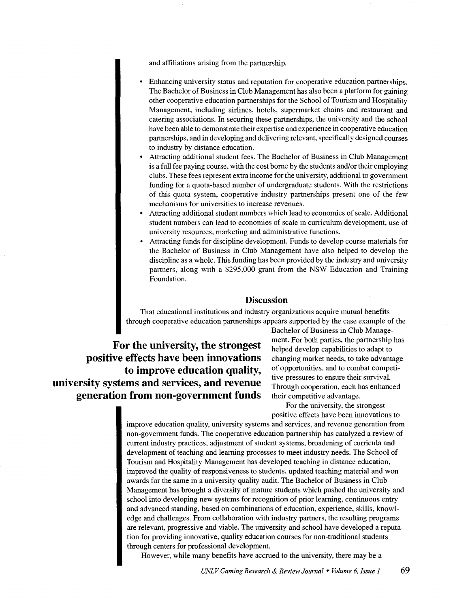and affiliations arising from the partnership.

- Enhancing university status and reputation for cooperative education partnerships. The Bachelor of Business in Club Management has also been a platform for gaining other cooperative education partnerships for the School of Tourism and Hospitality Management, including airlines, hotels, supermarket chains and restaurant and catering associations. In securing these partnerships, the university and the school have been able to demonstrate their expertise and experience in cooperative education partnerships, and in developing and delivering relevant, specifically designed courses to industry by distance education.
- Attracting additional student fees. The Bachelor of Business in Club Management is a full fee paying course. with the cost borne by the students and/or their employing clubs. These fees represent extra income for the university, additional to government funding for a quota-based number of undergraduate students. With the restrictions of this quota system, cooperative industry partnerships present one of the few mechanisms for universities to increase revenues.
- Attracting additional student numbers which lead to economies of scale. Additional student numbers can lead to economies of scale in curriculum development, use of university resources, marketing and administrative functions.
- Attracting funds for discipline development. Funds to develop course materials for the Bachelor of Business in Club Management have also helped to develop the discipline as a whole. This funding has been provided by the industry and university partners, along with a \$295,000 grant from the NSW Education and Training Foundation.

#### **Discussion**

That educational institutions and industry organizations acquire mutual benefits through cooperative education partnerships appears supported by the case example of the

**For the university, the strongest positive effects have been innovations to improve education quality, university systems and services, and revenue generation from non-government funds** 

Bachelor of Business in Club Management. For both parties, the partnership has helped develop capabilities to adapt to changing market needs, to take advantage of opportunities, and to combat competitive pressures to ensure their survival. Through cooperation, each has enhanced their competitive advantage.

For the university, the strongest positive effects have been innovations to

improve education quality, university systems and services, and revenue generation from non-government funds. The cooperative education partnership has catalyzed a review of current industry practices, adjustment of student systems, broadening of curricula and development of teaching and learning processes to meet industry needs. The School of Tourism and Hospitality Management has developed teaching in distance education, improved the quality of responsiveness to students, updated teaching material and won awards for the same in a university quality audit. The Bachelor of Business in Club Management has brought a diversity of mature students which pushed the university and school into developing new systems for recognition of prior learning, continuous entry and advanced standing, based on combinations of education, experience, skills, knowledge and challenges. From collaboration with industry partners, the resulting programs are relevant, progressive and viable. The university and school have developed a reputation for providing innovative, quality education courses for non-traditional students through centers for professional development.

However, while many benefits have accrued to the university, there may be a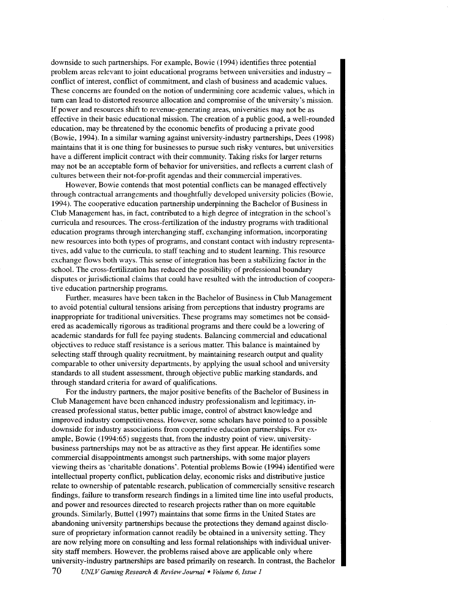downside to such partnerships. For example, Bowie (1994) identifies three potential problem areas relevant to joint educational programs between universities and industryconflict of interest, conflict of commitment, and clash of business and academic values. These concerns are founded on the notion of undermining core academic values, which in tum can lead to distorted resource allocation and compromise of the university's mission. If power and resources shift to revenue-generating areas, universities may not be as effective in their basic educational mission. The creation of a public good, a well-rounded education, may be threatened by the economic benefits of producing a private good (Bowie, 1994). In a similar warning against university-industry partnerships, Dees (1998) maintains that it is one thing for businesses to pursue such risky ventures, but universities have a different implicit contract with their community. Taking risks for larger returns may not be an acceptable form of behavior for universities, and reflects a current clash of cultures between their not-for-profit agendas and their commercial imperatives.

However, Bowie contends that most potential conflicts can be managed effectively through contractual arrangements and thoughtfully developed university policies (Bowie, 1994). The cooperative education partnership underpinning the Bachelor of Business in Club Management has, in fact, contributed to a high degree of integration in the school's curricula and resources. The cross-fertilization of the industry programs with traditional education programs through interchanging staff, exchanging information, incorporating new resources into both types of programs, and constant contact with industry representatives, add value to the curricula, to staff teaching and to student learning. This resource exchange flows both ways. This sense of integration has been a stabilizing factor in the school. The cross-fertilization has reduced the possibility of professional boundary disputes or jurisdictional claims that could have resulted with the introduction of cooperative education partnership programs.

Further. measures have been taken in the Bachelor of Business in Club Management to avoid potential cultural tensions arising from perceptions that industry programs are inappropriate for traditional universities. These programs may sometimes not be considered as academically rigorous as traditional programs and there could be a lowering of academic standards for full fee paying students. Balancing commercial and educational objectives to reduce staff resistance is a serious matter. This balance is maintained by selecting staff through quality recruitment, by maintaining research output and quality comparable to other university departments, by applying the usual school and university standards to all student assessment, through objective public marking standards. and through standard criteria for award of qualifications.

For the industry partners, the major positive benefits of the Bachelor of Business in Club Management have been enhanced industry professionalism and legitimacy, increased professional status, better public image, control of abstract knowledge and improved industry competitiveness. However, some scholars have pointed to a possible downside for industry associations from cooperative education partnerships. For example, Bowie (1994:65) suggests that, from the industry point of view, universitybusiness partnerships may not be as attractive as they first appear. He identifies some commercial disappointments amongst such partnerships, with some major players viewing theirs as 'charitable donations'. Potential problems Bowie (1994) identified were intellectual property conflict, publication delay, economic risks and distributive justice relate to ownership of patentable research, publication of commercially sensitive research findings, failure to transform research findings in a limited time line into useful products, and power and resources directed to research projects rather than on more equitable grounds. Similarly, Buttel (1997) maintains that some firms in the United States are abandoning university partnerships because the protections they demand against disclosure of proprietary information cannot readily be obtained in a university setting. They are now relying more on consulting and less formal relationships with individual university staff members. However, the problems raised above are applicable only where university-industry partnerships are based primarily on research. In contrast, the Bachelor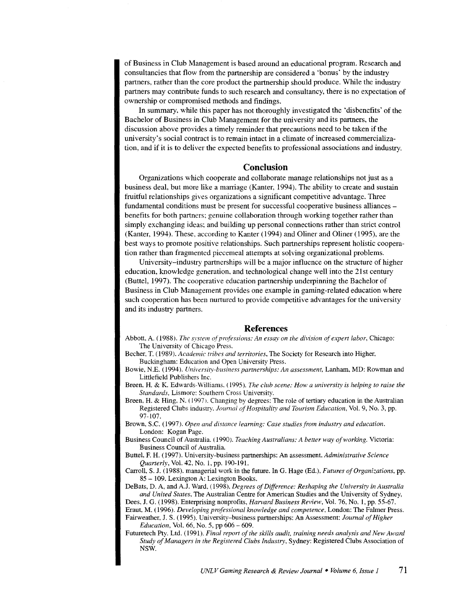of Business in Club Management is based around an educational program. Research and consultancies that flow from the partnership are considered a 'bonus' by the industry partners, rather than the core product the partnership should produce. While the industry partners may contribute funds to such research and consultancy, there is no expectation of ownership or compromised methods and findings.

In summary, while this paper has not thoroughly investigated the 'disbenefits' of the Bachelor of Business in Club Management for the university and its partners, the discussion above provides a timely reminder that precautions need to be taken if the university's social contract is to remain intact in a climate of increased commercialization, and if it is to deliver the expected benefits to professional associations and industry.

#### **Conclusion**

Organizations which cooperate and collaborate manage relationships not just as a business deal, but more like a marriage (Kanter, 1994). The ability to create and sustain fruitful relationships gives organizations a significant competitive advantage. Three fundamental conditions must be present for successful cooperative business alliancesbenefits for both partners; genuine collaboration through working together rather than simply exchanging ideas; and building up personal connections rather than strict control (Kanter, 1994). These. according to Kanter (1994) and Oliner and Oliner (1995), are the best ways to promote positive relationships. Such partnerships represent holistic cooperation rather than fragmented piecemeal attempts at solving organizational problems.

University-industry partnerships will be a major influence on the structure of higher education, knowledge generation, and technological change well into the 21st century (Buttel, 1997). The cooperative education partnership underpinning the Bachelor of Business in Club Management provides one example in gaming-related education where such cooperation has been nurtured to provide competitive advantages for the university and its industry partners.

#### **References**

Abbott. A. ( 1988). *The sntem of professions: An essay on the division of expert labor,* Chicago: The University of Chicago Press.

Becher, T. ( 1989). *Academic tribes and territories,* The Society for Research into Higher, Buckingham: Education and Open University Press.

- Bowie, N.E. (1994). *University-business partnerships: An assessment,* Lanham, MD: Rowman and Littlefield Publishers Inc.
- Breen, H. & K. Edwards-Williams. ( 1995). *The club scene: How a university is helping to raise the Standards,* Lismore: Southern Cross University.
- Breen, H. & Hing. N. ( 1997). Changing by degrees: The role of tertiary education in the Australian Registered Clubs industry. *Journal of Hospitality and Tourism Education,* Vol. 9, No. 3, pp. 97-107.

Brown, S.C. (1997). *Open and distance learning: Case studies from industry and education.*  London: Kogan Page.

Business Council of Australia. ( 1990). *Teaching Australians: A better way of working.* Victoria: Business Council of Australia.

Butte!, F. H. (1997). University-business partnerships: An assessment. *Administrative Science Quarterly,* Vol. 42, No.1, pp. 190-191.

Carroll, S. J. (1988). managerial work in the future. In G. Hage (Ed.), *Futures of Organizations,* pp. 85 - 109. Lexington A: Lexington Books.

DeBats, D. A, and A.J. Ward. ( 1998). *Degrees of Difference: Reshaping the University in Australia and United States,* The Australian Centre for American Studies and the University of Sydney,

Dees, J. G. (1998). Enterprising nonprofits, *Harvard Business Review,* Vol. 76, No. 1, pp. 55-67. Eraut, M. (1996). *Developing professional knowledge and competence,* London: The Falmer Press.

Fairweather, J. S. (1995). University-business partnerships: An Assessment: *Journal of Higher Education,* Vol. 66, No. 5, pp 606- 609.

Futuretech Pty. Ltd. (1991). *Final repon of the skills audit, training needs analysis and New Award Study of Managers in the Registered Clubs Industry,* Sydney: Registered Clubs Association of NSW.